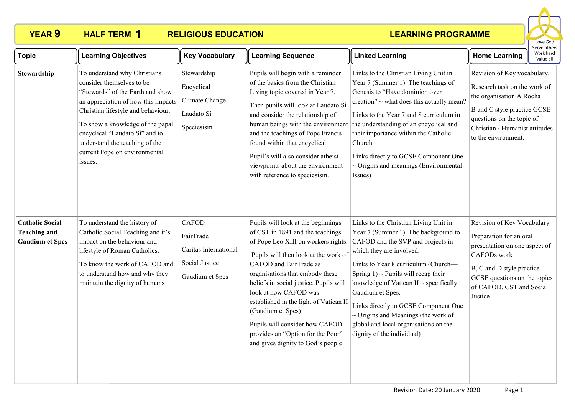### **YEAR 9 HALF TERM RELIGIOUS EDUCATION HALF TERM 1**



| <b>Topic</b>                                                            | <b>Learning Objectives</b>                                                                                                                                                                                                                                                                                                     | <b>Key Vocabulary</b>                                                                   | <b>Learning Sequence</b>                                                                                                                                                                                                                                                                                                                                                                                                                                          | <b>Linked Learning</b>                                                                                                                                                                                                                                                                                                                                                                                                                                        | <b>Home Learning</b>                                                                                                                                                                                                | Serve others<br>Work hard<br>Value all |
|-------------------------------------------------------------------------|--------------------------------------------------------------------------------------------------------------------------------------------------------------------------------------------------------------------------------------------------------------------------------------------------------------------------------|-----------------------------------------------------------------------------------------|-------------------------------------------------------------------------------------------------------------------------------------------------------------------------------------------------------------------------------------------------------------------------------------------------------------------------------------------------------------------------------------------------------------------------------------------------------------------|---------------------------------------------------------------------------------------------------------------------------------------------------------------------------------------------------------------------------------------------------------------------------------------------------------------------------------------------------------------------------------------------------------------------------------------------------------------|---------------------------------------------------------------------------------------------------------------------------------------------------------------------------------------------------------------------|----------------------------------------|
| Stewardship                                                             | To understand why Christians<br>consider themselves to be<br>"Stewards" of the Earth and show<br>an appreciation of how this impacts<br>Christian lifestyle and behaviour.<br>To show a knowledge of the papal<br>encyclical "Laudato Si" and to<br>understand the teaching of the<br>current Pope on environmental<br>issues. | Stewardship<br>Encyclical<br>Climate Change<br>Laudato Si<br>Speciesism                 | Pupils will begin with a reminder<br>of the basics from the Christian<br>Living topic covered in Year 7.<br>Then pupils will look at Laudato Si<br>and consider the relationship of<br>human beings with the environment<br>and the teachings of Pope Francis<br>found within that encyclical.<br>Pupil's will also consider atheist<br>viewpoints about the environment<br>with reference to speciesism.                                                         | Links to the Christian Living Unit in<br>Year 7 (Summer 1). The teachings of<br>Genesis to "Have dominion over<br>creation" ~ what does this actually mean?<br>Links to the Year 7 and 8 curriculum in<br>the understanding of an encyclical and<br>their importance within the Catholic<br>Church.<br>Links directly to GCSE Component One<br>$\sim$ Origins and meanings (Environmental<br>Issues)                                                          | Revision of Key vocabulary.<br>Research task on the work of<br>the organisation A Rocha<br><b>B</b> and C style practice GCSE<br>questions on the topic of<br>Christian / Humanist attitudes<br>to the environment. |                                        |
| <b>Catholic Social</b><br><b>Teaching and</b><br><b>Gaudium et Spes</b> | To understand the history of<br>Catholic Social Teaching and it's<br>impact on the behaviour and<br>lifestyle of Roman Catholics.<br>To know the work of CAFOD and<br>to understand how and why they<br>maintain the dignity of humans                                                                                         | <b>CAFOD</b><br>FairTrade<br>Caritas International<br>Social Justice<br>Gaudium et Spes | Pupils will look at the beginnings<br>of CST in 1891 and the teachings<br>of Pope Leo XIII on workers rights.<br>Pupils will then look at the work of<br>CAFOD and FairTrade as<br>organisations that embody these<br>beliefs in social justice. Pupils will<br>look at how CAFOD was<br>established in the light of Vatican II<br>(Gaudium et Spes)<br>Pupils will consider how CAFOD<br>provides an "Option for the Poor"<br>and gives dignity to God's people. | Links to the Christian Living Unit in<br>Year 7 (Summer 1). The background to<br>CAFOD and the SVP and projects in<br>which they are involved.<br>Links to Year 8 curriculum (Church-<br>Spring $1$ ) ~ Pupils will recap their<br>knowledge of Vatican II $\sim$ specifically<br>Gaudium et Spes.<br>Links directly to GCSE Component One<br>$\sim$ Origins and Meanings (the work of<br>global and local organisations on the<br>dignity of the individual) | Revision of Key Vocabulary<br>Preparation for an oral<br>presentation on one aspect of<br>CAFODs work<br>B, C and D style practice<br>GCSE questions on the topics<br>of CAFOD, CST and Social<br>Justice           |                                        |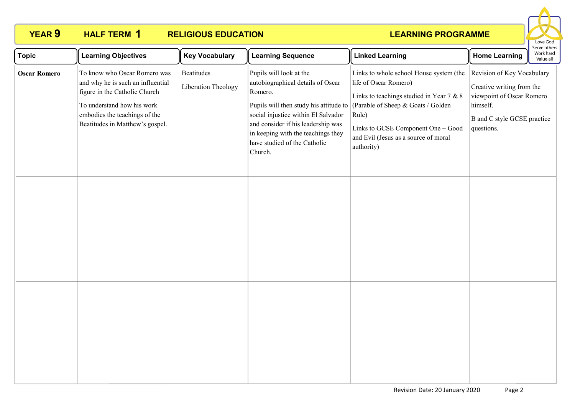### **YEAR 9 HALF TERM RELIGIOUS EDUCATION HALF TERM 1**



| <b>Topic</b>        | <b>Learning Objectives</b>                                                                                                                                                                           | <b>Key Vocabulary</b>             | <b>Learning Sequence</b>                                                                                                                                                                                                              | <b>Linked Learning</b>                                                                                                                                                                                                                                                                          | <b>Home Learning</b>                                                                                                                          | Serve others<br>Work hard<br>Value all |
|---------------------|------------------------------------------------------------------------------------------------------------------------------------------------------------------------------------------------------|-----------------------------------|---------------------------------------------------------------------------------------------------------------------------------------------------------------------------------------------------------------------------------------|-------------------------------------------------------------------------------------------------------------------------------------------------------------------------------------------------------------------------------------------------------------------------------------------------|-----------------------------------------------------------------------------------------------------------------------------------------------|----------------------------------------|
| <b>Oscar Romero</b> | To know who Oscar Romero was<br>and why he is such an influential<br>figure in the Catholic Church<br>To understand how his work<br>embodies the teachings of the<br>Beatitudes in Matthew's gospel. | Beatitudes<br>Liberation Theology | Pupils will look at the<br>autobiographical details of Oscar<br>Romero.<br>social injustice within El Salvador<br>and consider if his leadership was<br>in keeping with the teachings they<br>have studied of the Catholic<br>Church. | Links to whole school House system (the<br>life of Oscar Romero)<br>Links to teachings studied in Year 7 & 8<br>Pupils will then study his attitude to [Parable of Sheep & Goats / Golden]<br>Rule)<br>Links to GCSE Component One ~ Good<br>and Evil (Jesus as a source of moral<br>authority) | Revision of Key Vocabulary<br>Creative writing from the<br>viewpoint of Oscar Romero<br>himself.<br>B and C style GCSE practice<br>questions. |                                        |
|                     |                                                                                                                                                                                                      |                                   |                                                                                                                                                                                                                                       |                                                                                                                                                                                                                                                                                                 |                                                                                                                                               |                                        |
|                     |                                                                                                                                                                                                      |                                   |                                                                                                                                                                                                                                       |                                                                                                                                                                                                                                                                                                 |                                                                                                                                               |                                        |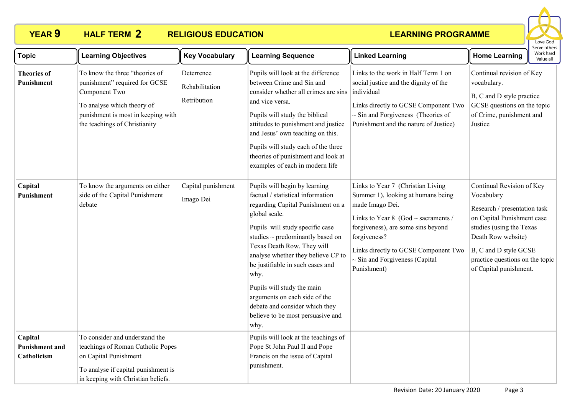# **YEAR 9 HALF TERM 2 RELIGIOUS EDUCATION**



| <b>Topic</b>                                    | <b>Learning Objectives</b>                                                                                                                                                            | <b>Key Vocabulary</b>                       | <b>Learning Sequence</b>                                                                                                                                                                                                                                                                                                                                                                                                                                           | <b>Linked Learning</b>                                                                                                                                                                                                                                                                     | <b>Home Learning</b>                                                                                                                                                                                                                          | serve other:<br>Work hard<br>Value all |
|-------------------------------------------------|---------------------------------------------------------------------------------------------------------------------------------------------------------------------------------------|---------------------------------------------|--------------------------------------------------------------------------------------------------------------------------------------------------------------------------------------------------------------------------------------------------------------------------------------------------------------------------------------------------------------------------------------------------------------------------------------------------------------------|--------------------------------------------------------------------------------------------------------------------------------------------------------------------------------------------------------------------------------------------------------------------------------------------|-----------------------------------------------------------------------------------------------------------------------------------------------------------------------------------------------------------------------------------------------|----------------------------------------|
| <b>Theories of</b><br>Punishment                | To know the three "theories of<br>punishment" required for GCSE<br>Component Two<br>To analyse which theory of<br>punishment is most in keeping with<br>the teachings of Christianity | Deterrence<br>Rehabilitation<br>Retribution | Pupils will look at the difference<br>between Crime and Sin and<br>consider whether all crimes are sins<br>and vice versa.<br>Pupils will study the biblical<br>attitudes to punishment and justice<br>and Jesus' own teaching on this.<br>Pupils will study each of the three<br>theories of punishment and look at<br>examples of each in modern life                                                                                                            | Links to the work in Half Term 1 on<br>social justice and the dignity of the<br>individual<br>Links directly to GCSE Component Two<br>$\sim$ Sin and Forgiveness (Theories of<br>Punishment and the nature of Justice)                                                                     | Continual revision of Key<br>vocabulary.<br>B, C and D style practice<br>GCSE questions on the topic<br>of Crime, punishment and<br>Justice                                                                                                   |                                        |
| Capital<br>Punishment                           | To know the arguments on either<br>side of the Capital Punishment<br>debate                                                                                                           | Capital punishment<br>Imago Dei             | Pupils will begin by learning<br>factual / statistical information<br>regarding Capital Punishment on a<br>global scale.<br>Pupils will study specific case<br>studies $\sim$ predominantly based on<br>Texas Death Row. They will<br>analyse whether they believe CP to<br>be justifiable in such cases and<br>why.<br>Pupils will study the main<br>arguments on each side of the<br>debate and consider which they<br>believe to be most persuasive and<br>why. | Links to Year 7 (Christian Living<br>Summer 1), looking at humans being<br>made Imago Dei.<br>Links to Year 8 (God $\sim$ sacraments /<br>forgiveness), are some sins beyond<br>forgiveness?<br>Links directly to GCSE Component Two<br>$\sim$ Sin and Forgiveness (Capital<br>Punishment) | Continual Revision of Key<br>Vocabulary<br>Research / presentation task<br>on Capital Punishment case<br>studies (using the Texas<br>Death Row website)<br>B, C and D style GCSE<br>practice questions on the topic<br>of Capital punishment. |                                        |
| Capital<br><b>Punishment and</b><br>Catholicism | To consider and understand the<br>teachings of Roman Catholic Popes<br>on Capital Punishment<br>To analyse if capital punishment is<br>in keeping with Christian beliefs.             |                                             | Pupils will look at the teachings of<br>Pope St John Paul II and Pope<br>Francis on the issue of Capital<br>punishment.                                                                                                                                                                                                                                                                                                                                            |                                                                                                                                                                                                                                                                                            |                                                                                                                                                                                                                                               |                                        |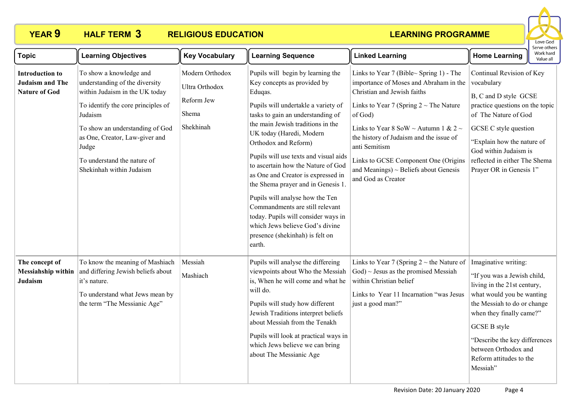# **YEAR 9 HALF TERM 3 RELIGIOUS EDUCATION**



| <b>Topic</b>                                                             | <b>Learning Objectives</b>                                                                                                                                                                                                                                                            | <b>Key Vocabulary</b>                                                 | <b>Learning Sequence</b>                                                                                                                                                                                                                                                                                                                                                                                                                                                                                                                                                                                 | <b>Linked Learning</b>                                                                                                                                                                                                                                                                                                                                                                     | Work hard<br><b>Home Learning</b><br>Value all                                                                                                                                                                                                                                                    |
|--------------------------------------------------------------------------|---------------------------------------------------------------------------------------------------------------------------------------------------------------------------------------------------------------------------------------------------------------------------------------|-----------------------------------------------------------------------|----------------------------------------------------------------------------------------------------------------------------------------------------------------------------------------------------------------------------------------------------------------------------------------------------------------------------------------------------------------------------------------------------------------------------------------------------------------------------------------------------------------------------------------------------------------------------------------------------------|--------------------------------------------------------------------------------------------------------------------------------------------------------------------------------------------------------------------------------------------------------------------------------------------------------------------------------------------------------------------------------------------|---------------------------------------------------------------------------------------------------------------------------------------------------------------------------------------------------------------------------------------------------------------------------------------------------|
| <b>Introduction to</b><br><b>Judaism and The</b><br><b>Nature of God</b> | To show a knowledge and<br>understanding of the diversity<br>within Judaism in the UK today<br>To identify the core principles of<br>Judaism<br>To show an understanding of God<br>as One, Creator, Law-giver and<br>Judge<br>To understand the nature of<br>Shekinhah within Judaism | Modern Orthodox<br>Ultra Orthodox<br>Reform Jew<br>Shema<br>Shekhinah | Pupils will begin by learning the<br>Key concepts as provided by<br>Eduqas.<br>Pupils will undertakle a variety of<br>tasks to gain an understanding of<br>the main Jewish traditions in the<br>UK today (Haredi, Modern<br>Orthodox and Reform)<br>Pupils will use texts and visual aids<br>to ascertain how the Nature of God<br>as One and Creator is expressed in<br>the Shema prayer and in Genesis 1.<br>Pupils will analyse how the Ten<br>Commandments are still relevant<br>today. Pupils will consider ways in<br>which Jews believe God's divine<br>presence (shekinhah) is felt on<br>earth. | Links to Year 7 (Bible~ Spring 1) - The<br>importance of Moses and Abraham in the<br>Christian and Jewish faiths<br>Links to Year 7 (Spring $2 \sim$ The Nature<br>of God)<br>Links to Year 8 SoW ~ Autumn 1 & 2 ~<br>the history of Judaism and the issue of<br>anti Semitism<br>Links to GCSE Component One (Origins<br>and Meanings) $\sim$ Beliefs about Genesis<br>and God as Creator | Continual Revision of Key<br>vocabulary<br>B, C and D style GCSE<br>practice questions on the topic<br>of The Nature of God<br>GCSE C style question<br>"Explain how the nature of<br>God within Judaism is<br>reflected in either The Shema<br>Prayer OR in Genesis 1"                           |
| The concept of<br>Judaism                                                | To know the meaning of Mashiach<br>Messiahship within and differing Jewish beliefs about<br>it's nature.<br>To understand what Jews mean by<br>the term "The Messianic Age"                                                                                                           | Messiah<br>Mashiach                                                   | Pupils will analyse the differeing<br>viewpoints about Who the Messiah<br>is, When he will come and what he<br>will do.<br>Pupils will study how different<br>Jewish Traditions interpret beliefs<br>about Messiah from the Tenakh<br>Pupils will look at practical ways in<br>which Jews believe we can bring<br>about The Messianic Age                                                                                                                                                                                                                                                                | Links to Year 7 (Spring $2 \sim$ the Nature of<br>$\text{God}$ $\sim$ Jesus as the promised Messiah<br>within Christian belief<br>Links to Year 11 Incarnation "was Jesus<br>just a good man?"                                                                                                                                                                                             | Imaginative writing:<br>"If you was a Jewish child,<br>living in the 21st century,<br>what would you be wanting<br>the Messiah to do or change<br>when they finally came?"<br><b>GCSE B style</b><br>"Describe the key differences<br>between Orthodox and<br>Reform attitudes to the<br>Messiah" |